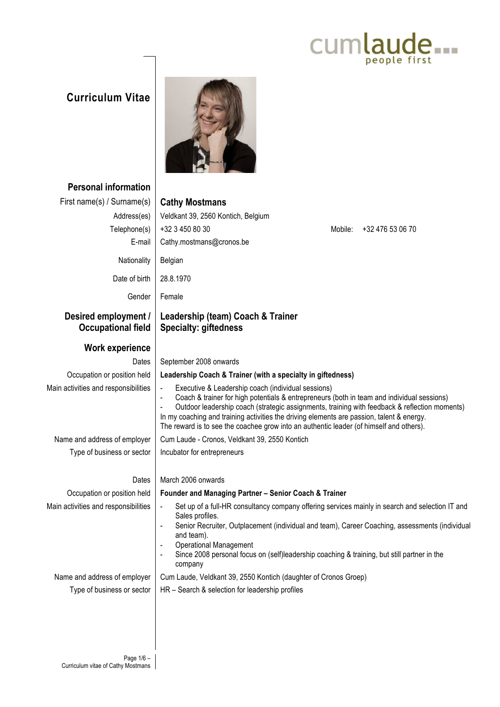## Cumlaude...

## **Curriculum Vitae**



| <b>Personal information</b>                       |                                                                                                                                                                                                                                                                                                                                                                                                                                                                                     |
|---------------------------------------------------|-------------------------------------------------------------------------------------------------------------------------------------------------------------------------------------------------------------------------------------------------------------------------------------------------------------------------------------------------------------------------------------------------------------------------------------------------------------------------------------|
| First name(s) / Surname(s)                        | <b>Cathy Mostmans</b>                                                                                                                                                                                                                                                                                                                                                                                                                                                               |
| Address(es)                                       | Veldkant 39, 2560 Kontich, Belgium                                                                                                                                                                                                                                                                                                                                                                                                                                                  |
| Telephone(s)                                      | +32 3 450 80 30<br>+32 476 53 06 70<br>Mobile:                                                                                                                                                                                                                                                                                                                                                                                                                                      |
| E-mail                                            | Cathy.mostmans@cronos.be                                                                                                                                                                                                                                                                                                                                                                                                                                                            |
| Nationality                                       | Belgian                                                                                                                                                                                                                                                                                                                                                                                                                                                                             |
| Date of birth                                     | 28.8.1970                                                                                                                                                                                                                                                                                                                                                                                                                                                                           |
| Gender                                            | Female                                                                                                                                                                                                                                                                                                                                                                                                                                                                              |
| Desired employment /<br><b>Occupational field</b> | Leadership (team) Coach & Trainer<br><b>Specialty: giftedness</b>                                                                                                                                                                                                                                                                                                                                                                                                                   |
| <b>Work experience</b>                            |                                                                                                                                                                                                                                                                                                                                                                                                                                                                                     |
| Dates                                             | September 2008 onwards                                                                                                                                                                                                                                                                                                                                                                                                                                                              |
| Occupation or position held                       | Leadership Coach & Trainer (with a specialty in giftedness)                                                                                                                                                                                                                                                                                                                                                                                                                         |
| Main activities and responsibilities              | Executive & Leadership coach (individual sessions)<br>$\blacksquare$<br>Coach & trainer for high potentials & entrepreneurs (both in team and individual sessions)<br>÷,<br>Outdoor leadership coach (strategic assignments, training with feedback & reflection moments)<br>$\blacksquare$<br>In my coaching and training activities the driving elements are passion, talent & energy.<br>The reward is to see the coachee grow into an authentic leader (of himself and others). |
| Name and address of employer                      | Cum Laude - Cronos, Veldkant 39, 2550 Kontich                                                                                                                                                                                                                                                                                                                                                                                                                                       |
| Type of business or sector                        | Incubator for entrepreneurs                                                                                                                                                                                                                                                                                                                                                                                                                                                         |
| Dates                                             | March 2006 onwards                                                                                                                                                                                                                                                                                                                                                                                                                                                                  |
| Occupation or position held                       | Founder and Managing Partner - Senior Coach & Trainer                                                                                                                                                                                                                                                                                                                                                                                                                               |
| Main activities and responsibilities              | Set up of a full-HR consultancy company offering services mainly in search and selection IT and<br>$\overline{\phantom{a}}$<br>Sales profiles.<br>Senior Recruiter, Outplacement (individual and team), Career Coaching, assessments (individual<br>$\overline{\phantom{a}}$<br>and team).<br><b>Operational Management</b><br>Since 2008 personal focus on (self)leadership coaching & training, but still partner in the<br>company                                               |
| Name and address of employer                      | Cum Laude, Veldkant 39, 2550 Kontich (daughter of Cronos Groep)                                                                                                                                                                                                                                                                                                                                                                                                                     |
| Type of business or sector                        | HR - Search & selection for leadership profiles                                                                                                                                                                                                                                                                                                                                                                                                                                     |
|                                                   |                                                                                                                                                                                                                                                                                                                                                                                                                                                                                     |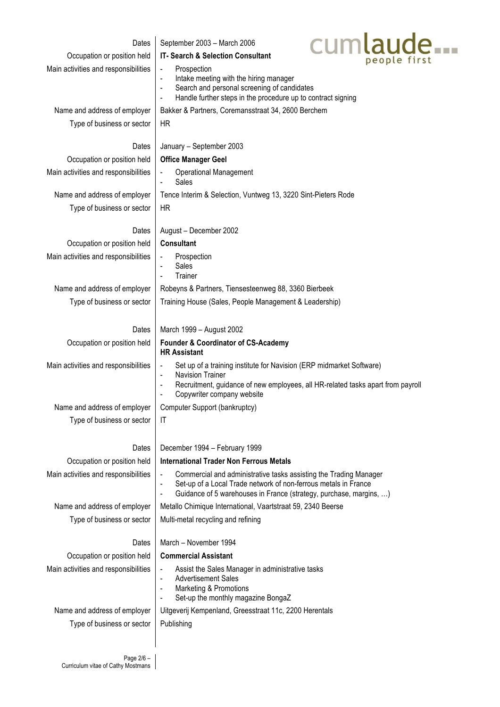| Dates<br>Occupation or position held | Cumlaude<br>September 2003 - March 2006<br>IT- Search & Selection Consultant                                                                                                                                                                                               |  |  |  |  |  |  |
|--------------------------------------|----------------------------------------------------------------------------------------------------------------------------------------------------------------------------------------------------------------------------------------------------------------------------|--|--|--|--|--|--|
| Main activities and responsibilities | Prospection<br>Intake meeting with the hiring manager<br>Search and personal screening of candidates<br>$\blacksquare$<br>Handle further steps in the procedure up to contract signing<br>$\blacksquare$                                                                   |  |  |  |  |  |  |
| Name and address of employer         | Bakker & Partners, Coremansstraat 34, 2600 Berchem                                                                                                                                                                                                                         |  |  |  |  |  |  |
| Type of business or sector           | <b>HR</b>                                                                                                                                                                                                                                                                  |  |  |  |  |  |  |
| Dates                                | January - September 2003                                                                                                                                                                                                                                                   |  |  |  |  |  |  |
| Occupation or position held          | <b>Office Manager Geel</b>                                                                                                                                                                                                                                                 |  |  |  |  |  |  |
| Main activities and responsibilities | <b>Operational Management</b><br>Sales<br>$\blacksquare$                                                                                                                                                                                                                   |  |  |  |  |  |  |
| Name and address of employer         | Tence Interim & Selection, Vuntweg 13, 3220 Sint-Pieters Rode                                                                                                                                                                                                              |  |  |  |  |  |  |
| Type of business or sector           | HR                                                                                                                                                                                                                                                                         |  |  |  |  |  |  |
| Dates                                | August - December 2002                                                                                                                                                                                                                                                     |  |  |  |  |  |  |
| Occupation or position held          | <b>Consultant</b>                                                                                                                                                                                                                                                          |  |  |  |  |  |  |
| Main activities and responsibilities | Prospection<br>Sales<br>Trainer                                                                                                                                                                                                                                            |  |  |  |  |  |  |
| Name and address of employer         | Robeyns & Partners, Tiensesteenweg 88, 3360 Bierbeek                                                                                                                                                                                                                       |  |  |  |  |  |  |
| Type of business or sector           | Training House (Sales, People Management & Leadership)                                                                                                                                                                                                                     |  |  |  |  |  |  |
| Dates                                | March 1999 - August 2002                                                                                                                                                                                                                                                   |  |  |  |  |  |  |
| Occupation or position held          | <b>Founder &amp; Coordinator of CS-Academy</b><br><b>HR Assistant</b>                                                                                                                                                                                                      |  |  |  |  |  |  |
| Main activities and responsibilities | Set up of a training institute for Navision (ERP midmarket Software)<br>$\overline{\phantom{a}}$<br><b>Navision Trainer</b><br>$\blacksquare$                                                                                                                              |  |  |  |  |  |  |
|                                      | Recruitment, guidance of new employees, all HR-related tasks apart from payroll<br>$\blacksquare$<br>Copywriter company website                                                                                                                                            |  |  |  |  |  |  |
| Name and address of employer         | Computer Support (bankruptcy)                                                                                                                                                                                                                                              |  |  |  |  |  |  |
| Type of business or sector           | IT                                                                                                                                                                                                                                                                         |  |  |  |  |  |  |
| Dates                                | December 1994 - February 1999                                                                                                                                                                                                                                              |  |  |  |  |  |  |
| Occupation or position held          | <b>International Trader Non Ferrous Metals</b>                                                                                                                                                                                                                             |  |  |  |  |  |  |
| Main activities and responsibilities | Commercial and administrative tasks assisting the Trading Manager<br>$\blacksquare$<br>Set-up of a Local Trade network of non-ferrous metals in France<br>$\overline{\phantom{a}}$<br>Guidance of 5 warehouses in France (strategy, purchase, margins, )<br>$\blacksquare$ |  |  |  |  |  |  |
| Name and address of employer         | Metallo Chimique International, Vaartstraat 59, 2340 Beerse                                                                                                                                                                                                                |  |  |  |  |  |  |
| Type of business or sector           | Multi-metal recycling and refining                                                                                                                                                                                                                                         |  |  |  |  |  |  |
| Dates                                | March - November 1994                                                                                                                                                                                                                                                      |  |  |  |  |  |  |
| Occupation or position held          | <b>Commercial Assistant</b>                                                                                                                                                                                                                                                |  |  |  |  |  |  |
| Main activities and responsibilities | Assist the Sales Manager in administrative tasks<br>$\qquad \qquad \blacksquare$<br><b>Advertisement Sales</b><br>$\blacksquare$<br>Marketing & Promotions<br>$\blacksquare$<br>Set-up the monthly magazine BongaZ<br>$\blacksquare$                                       |  |  |  |  |  |  |
| Name and address of employer         | Uitgeverij Kempenland, Greesstraat 11c, 2200 Herentals                                                                                                                                                                                                                     |  |  |  |  |  |  |
| Type of business or sector           | Publishing                                                                                                                                                                                                                                                                 |  |  |  |  |  |  |
|                                      |                                                                                                                                                                                                                                                                            |  |  |  |  |  |  |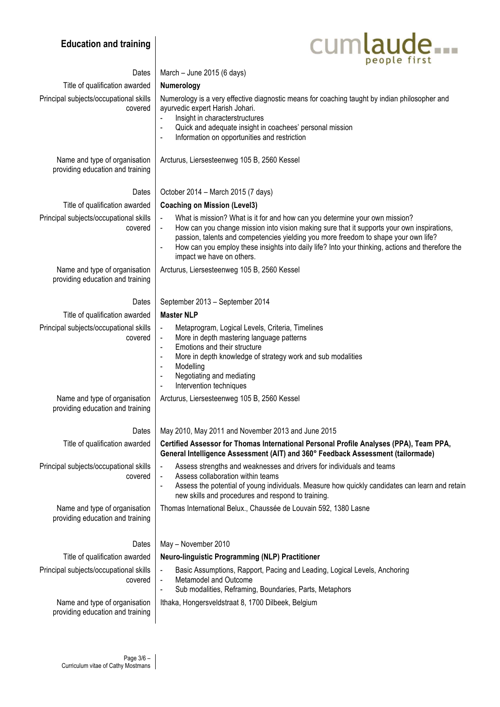## **Education and training**



| Dates                                                             | March - June 2015 (6 days)                                                                                                                                                                                                                                                                                                                                                                        |
|-------------------------------------------------------------------|---------------------------------------------------------------------------------------------------------------------------------------------------------------------------------------------------------------------------------------------------------------------------------------------------------------------------------------------------------------------------------------------------|
| Title of qualification awarded                                    | Numerology                                                                                                                                                                                                                                                                                                                                                                                        |
| Principal subjects/occupational skills<br>covered                 | Numerology is a very effective diagnostic means for coaching taught by indian philosopher and<br>ayurvedic expert Harish Johari.<br>Insight in characterstructures<br>Quick and adequate insight in coachees' personal mission<br>Information on opportunities and restriction<br>$\blacksquare$                                                                                                  |
| Name and type of organisation<br>providing education and training | Arcturus, Liersesteenweg 105 B, 2560 Kessel                                                                                                                                                                                                                                                                                                                                                       |
| Dates                                                             | October 2014 - March 2015 (7 days)                                                                                                                                                                                                                                                                                                                                                                |
| Title of qualification awarded                                    | <b>Coaching on Mission (Level3)</b>                                                                                                                                                                                                                                                                                                                                                               |
| Principal subjects/occupational skills<br>covered                 | What is mission? What is it for and how can you determine your own mission?<br>How can you change mission into vision making sure that it supports your own inspirations,<br>passion, talents and competencies yielding you more freedom to shape your own life?<br>How can you employ these insights into daily life? Into your thinking, actions and therefore the<br>impact we have on others. |
| Name and type of organisation<br>providing education and training | Arcturus, Liersesteenweg 105 B, 2560 Kessel                                                                                                                                                                                                                                                                                                                                                       |
| Dates                                                             | September 2013 - September 2014                                                                                                                                                                                                                                                                                                                                                                   |
| Title of qualification awarded                                    | <b>Master NLP</b>                                                                                                                                                                                                                                                                                                                                                                                 |
| Principal subjects/occupational skills<br>covered                 | Metaprogram, Logical Levels, Criteria, Timelines<br>More in depth mastering language patterns<br>Emotions and their structure<br>More in depth knowledge of strategy work and sub modalities<br>$\overline{\phantom{a}}$<br>Modelling<br>$\overline{\phantom{a}}$<br>Negotiating and mediating<br>$\overline{\phantom{a}}$<br>Intervention techniques<br>$\overline{\phantom{a}}$                 |
| Name and type of organisation<br>providing education and training | Arcturus, Liersesteenweg 105 B, 2560 Kessel                                                                                                                                                                                                                                                                                                                                                       |
| Dates                                                             | May 2010, May 2011 and November 2013 and June 2015                                                                                                                                                                                                                                                                                                                                                |
| Title of qualification awarded                                    | Certified Assessor for Thomas International Personal Profile Analyses (PPA), Team PPA,<br>General Intelligence Assessment (AIT) and 360° Feedback Assessment (tailormade)                                                                                                                                                                                                                         |
| Principal subjects/occupational skills<br>covered                 | Assess strengths and weaknesses and drivers for individuals and teams<br>$\blacksquare$<br>Assess collaboration within teams<br>$\overline{\phantom{a}}$<br>Assess the potential of young individuals. Measure how quickly candidates can learn and retain<br>$\blacksquare$<br>new skills and procedures and respond to training.                                                                |
| Name and type of organisation<br>providing education and training | Thomas International Belux., Chaussée de Louvain 592, 1380 Lasne                                                                                                                                                                                                                                                                                                                                  |
| Dates                                                             | May - November 2010                                                                                                                                                                                                                                                                                                                                                                               |
| Title of qualification awarded                                    | Neuro-linguistic Programming (NLP) Practitioner                                                                                                                                                                                                                                                                                                                                                   |
| Principal subjects/occupational skills<br>covered                 | Basic Assumptions, Rapport, Pacing and Leading, Logical Levels, Anchoring<br>Metamodel and Outcome<br>Sub modalities, Reframing, Boundaries, Parts, Metaphors<br>$\blacksquare$                                                                                                                                                                                                                   |
| Name and type of organisation<br>providing education and training | Ithaka, Hongersveldstraat 8, 1700 Dilbeek, Belgium                                                                                                                                                                                                                                                                                                                                                |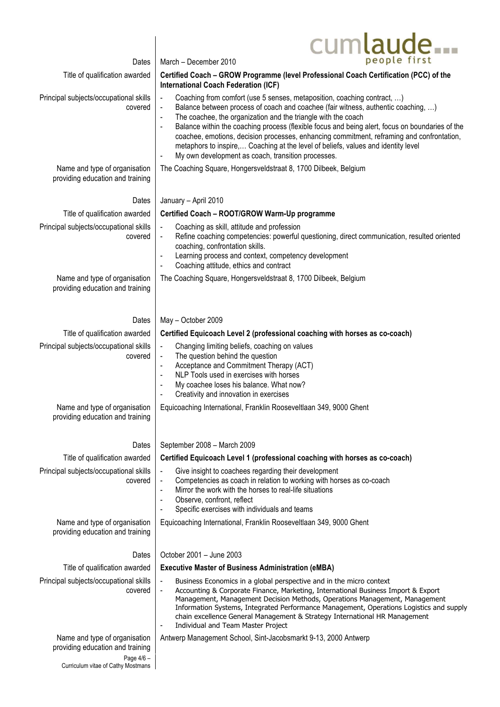|                                                                   | cumlaude.                                                                                                                                                                                                                                                                                                                                                                                                                                                                                                                                                                                                                                                            |
|-------------------------------------------------------------------|----------------------------------------------------------------------------------------------------------------------------------------------------------------------------------------------------------------------------------------------------------------------------------------------------------------------------------------------------------------------------------------------------------------------------------------------------------------------------------------------------------------------------------------------------------------------------------------------------------------------------------------------------------------------|
| Dates                                                             | people first<br>March - December 2010                                                                                                                                                                                                                                                                                                                                                                                                                                                                                                                                                                                                                                |
| Title of qualification awarded                                    | Certified Coach - GROW Programme (level Professional Coach Certification (PCC) of the<br><b>International Coach Federation (ICF)</b>                                                                                                                                                                                                                                                                                                                                                                                                                                                                                                                                 |
| Principal subjects/occupational skills<br>covered                 | Coaching from comfort (use 5 senses, metaposition, coaching contract, )<br>$\overline{\phantom{a}}$<br>Balance between process of coach and coachee (fair witness, authentic coaching, )<br>$\blacksquare$<br>The coachee, the organization and the triangle with the coach<br>$\overline{\phantom{a}}$<br>Balance within the coaching process (flexible focus and being alert, focus on boundaries of the<br>coachee, emotions, decision processes, enhancing commitment, reframing and confrontation,<br>metaphors to inspire, Coaching at the level of beliefs, values and identity level<br>My own development as coach, transition processes.<br>$\blacksquare$ |
| Name and type of organisation<br>providing education and training | The Coaching Square, Hongersveldstraat 8, 1700 Dilbeek, Belgium                                                                                                                                                                                                                                                                                                                                                                                                                                                                                                                                                                                                      |
| Dates                                                             | January - April 2010                                                                                                                                                                                                                                                                                                                                                                                                                                                                                                                                                                                                                                                 |
| Title of qualification awarded                                    | Certified Coach - ROOT/GROW Warm-Up programme                                                                                                                                                                                                                                                                                                                                                                                                                                                                                                                                                                                                                        |
| Principal subjects/occupational skills<br>covered                 | Coaching as skill, attitude and profession<br>$\blacksquare$<br>Refine coaching competencies: powerful questioning, direct communication, resulted oriented<br>$\blacksquare$<br>coaching, confrontation skills.<br>Learning process and context, competency development<br>$\overline{\phantom{a}}$<br>Coaching attitude, ethics and contract<br>$\overline{\phantom{a}}$                                                                                                                                                                                                                                                                                           |
| Name and type of organisation<br>providing education and training | The Coaching Square, Hongersveldstraat 8, 1700 Dilbeek, Belgium                                                                                                                                                                                                                                                                                                                                                                                                                                                                                                                                                                                                      |
| Dates                                                             | May - October 2009                                                                                                                                                                                                                                                                                                                                                                                                                                                                                                                                                                                                                                                   |
| Title of qualification awarded                                    | Certified Equicoach Level 2 (professional coaching with horses as co-coach)                                                                                                                                                                                                                                                                                                                                                                                                                                                                                                                                                                                          |
| Principal subjects/occupational skills<br>covered                 | Changing limiting beliefs, coaching on values<br>$\blacksquare$<br>The question behind the question<br>$\overline{\phantom{a}}$<br>Acceptance and Commitment Therapy (ACT)<br>$\overline{\phantom{a}}$<br>NLP Tools used in exercises with horses<br>My coachee loses his balance. What now?<br>Creativity and innovation in exercises                                                                                                                                                                                                                                                                                                                               |
| Name and type of organisation<br>providing education and training | Equicoaching International, Franklin Rooseveltlaan 349, 9000 Ghent                                                                                                                                                                                                                                                                                                                                                                                                                                                                                                                                                                                                   |
| Dates                                                             | September 2008 - March 2009                                                                                                                                                                                                                                                                                                                                                                                                                                                                                                                                                                                                                                          |
| Title of qualification awarded                                    | Certified Equicoach Level 1 (professional coaching with horses as co-coach)                                                                                                                                                                                                                                                                                                                                                                                                                                                                                                                                                                                          |
| Principal subjects/occupational skills<br>covered                 | Give insight to coachees regarding their development<br>Competencies as coach in relation to working with horses as co-coach<br>$\qquad \qquad \blacksquare$<br>Mirror the work with the horses to real-life situations<br>Observe, confront, reflect<br>$\blacksquare$<br>Specific exercises with individuals and teams                                                                                                                                                                                                                                                                                                                                             |
| Name and type of organisation<br>providing education and training | Equicoaching International, Franklin Rooseveltlaan 349, 9000 Ghent                                                                                                                                                                                                                                                                                                                                                                                                                                                                                                                                                                                                   |
| Dates                                                             | October 2001 - June 2003                                                                                                                                                                                                                                                                                                                                                                                                                                                                                                                                                                                                                                             |
| Title of qualification awarded                                    | <b>Executive Master of Business Administration (eMBA)</b>                                                                                                                                                                                                                                                                                                                                                                                                                                                                                                                                                                                                            |
| Principal subjects/occupational skills<br>covered                 | Business Economics in a global perspective and in the micro context<br>$\overline{\phantom{0}}$<br>Accounting & Corporate Finance, Marketing, International Business Import & Export<br>$\overline{\phantom{a}}$<br>Management, Management Decision Methods, Operations Management, Management<br>Information Systems, Integrated Performance Management, Operations Logistics and supply<br>chain excellence General Management & Strategy International HR Management<br>Individual and Team Master Project<br>$\overline{\phantom{a}}$                                                                                                                            |
| Name and type of organisation<br>providing education and training | Antwerp Management School, Sint-Jacobsmarkt 9-13, 2000 Antwerp                                                                                                                                                                                                                                                                                                                                                                                                                                                                                                                                                                                                       |
| Page 4/6 -<br>Curriculum vitae of Cathy Mostmans                  |                                                                                                                                                                                                                                                                                                                                                                                                                                                                                                                                                                                                                                                                      |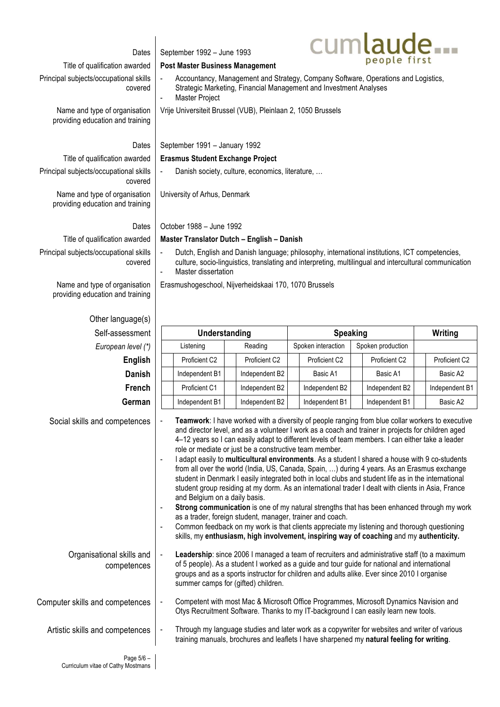| Dates                                                             | September 1992 - June 1993                                                                                                                                                                                                                                                                                                                                                                                                                                                                                                                                                                                                                                                                                                                                                                                                                                                                                                                                                                                                                                                                                                                                                                           |                            |  | cumlaude           |  |                   |  |                |
|-------------------------------------------------------------------|------------------------------------------------------------------------------------------------------------------------------------------------------------------------------------------------------------------------------------------------------------------------------------------------------------------------------------------------------------------------------------------------------------------------------------------------------------------------------------------------------------------------------------------------------------------------------------------------------------------------------------------------------------------------------------------------------------------------------------------------------------------------------------------------------------------------------------------------------------------------------------------------------------------------------------------------------------------------------------------------------------------------------------------------------------------------------------------------------------------------------------------------------------------------------------------------------|----------------------------|--|--------------------|--|-------------------|--|----------------|
| Title of qualification awarded                                    | people first<br><b>Post Master Business Management</b>                                                                                                                                                                                                                                                                                                                                                                                                                                                                                                                                                                                                                                                                                                                                                                                                                                                                                                                                                                                                                                                                                                                                               |                            |  |                    |  |                   |  |                |
| Principal subjects/occupational skills<br>covered                 | Accountancy, Management and Strategy, Company Software, Operations and Logistics,<br>Strategic Marketing, Financial Management and Investment Analyses<br>Master Project                                                                                                                                                                                                                                                                                                                                                                                                                                                                                                                                                                                                                                                                                                                                                                                                                                                                                                                                                                                                                             |                            |  |                    |  |                   |  |                |
| Name and type of organisation<br>providing education and training | Vrije Universiteit Brussel (VUB), Pleinlaan 2, 1050 Brussels                                                                                                                                                                                                                                                                                                                                                                                                                                                                                                                                                                                                                                                                                                                                                                                                                                                                                                                                                                                                                                                                                                                                         |                            |  |                    |  |                   |  |                |
| Dates                                                             | September 1991 - January 1992                                                                                                                                                                                                                                                                                                                                                                                                                                                                                                                                                                                                                                                                                                                                                                                                                                                                                                                                                                                                                                                                                                                                                                        |                            |  |                    |  |                   |  |                |
| Title of qualification awarded                                    | <b>Erasmus Student Exchange Project</b>                                                                                                                                                                                                                                                                                                                                                                                                                                                                                                                                                                                                                                                                                                                                                                                                                                                                                                                                                                                                                                                                                                                                                              |                            |  |                    |  |                   |  |                |
| Principal subjects/occupational skills<br>covered                 | Danish society, culture, economics, literature,                                                                                                                                                                                                                                                                                                                                                                                                                                                                                                                                                                                                                                                                                                                                                                                                                                                                                                                                                                                                                                                                                                                                                      |                            |  |                    |  |                   |  |                |
| Name and type of organisation<br>providing education and training | University of Arhus, Denmark                                                                                                                                                                                                                                                                                                                                                                                                                                                                                                                                                                                                                                                                                                                                                                                                                                                                                                                                                                                                                                                                                                                                                                         |                            |  |                    |  |                   |  |                |
| Dates                                                             | October 1988 - June 1992                                                                                                                                                                                                                                                                                                                                                                                                                                                                                                                                                                                                                                                                                                                                                                                                                                                                                                                                                                                                                                                                                                                                                                             |                            |  |                    |  |                   |  |                |
| Title of qualification awarded                                    |                                                                                                                                                                                                                                                                                                                                                                                                                                                                                                                                                                                                                                                                                                                                                                                                                                                                                                                                                                                                                                                                                                                                                                                                      |                            |  |                    |  |                   |  |                |
| Principal subjects/occupational skills<br>covered                 | Master Translator Dutch - English - Danish<br>Dutch, English and Danish language; philosophy, international institutions, ICT competencies,<br>culture, socio-linguistics, translating and interpreting, multilingual and intercultural communication<br>Master dissertation<br>$\blacksquare$                                                                                                                                                                                                                                                                                                                                                                                                                                                                                                                                                                                                                                                                                                                                                                                                                                                                                                       |                            |  |                    |  |                   |  |                |
| Name and type of organisation<br>providing education and training | Erasmushogeschool, Nijverheidskaai 170, 1070 Brussels                                                                                                                                                                                                                                                                                                                                                                                                                                                                                                                                                                                                                                                                                                                                                                                                                                                                                                                                                                                                                                                                                                                                                |                            |  |                    |  |                   |  |                |
| Other language(s)                                                 |                                                                                                                                                                                                                                                                                                                                                                                                                                                                                                                                                                                                                                                                                                                                                                                                                                                                                                                                                                                                                                                                                                                                                                                                      |                            |  |                    |  |                   |  |                |
| Self-assessment                                                   | Understanding                                                                                                                                                                                                                                                                                                                                                                                                                                                                                                                                                                                                                                                                                                                                                                                                                                                                                                                                                                                                                                                                                                                                                                                        |                            |  | <b>Speaking</b>    |  |                   |  | Writing        |
| European level (*)                                                | Listening                                                                                                                                                                                                                                                                                                                                                                                                                                                                                                                                                                                                                                                                                                                                                                                                                                                                                                                                                                                                                                                                                                                                                                                            | Reading                    |  | Spoken interaction |  | Spoken production |  |                |
|                                                                   | Proficient C2                                                                                                                                                                                                                                                                                                                                                                                                                                                                                                                                                                                                                                                                                                                                                                                                                                                                                                                                                                                                                                                                                                                                                                                        |                            |  | Proficient C2      |  | Proficient C2     |  | Proficient C2  |
| English                                                           |                                                                                                                                                                                                                                                                                                                                                                                                                                                                                                                                                                                                                                                                                                                                                                                                                                                                                                                                                                                                                                                                                                                                                                                                      | Proficient C2              |  |                    |  |                   |  |                |
| <b>Danish</b>                                                     | Independent B1                                                                                                                                                                                                                                                                                                                                                                                                                                                                                                                                                                                                                                                                                                                                                                                                                                                                                                                                                                                                                                                                                                                                                                                       | Independent B2             |  | Basic A1           |  | Basic A1          |  | Basic A2       |
| <b>French</b>                                                     | Proficient C1                                                                                                                                                                                                                                                                                                                                                                                                                                                                                                                                                                                                                                                                                                                                                                                                                                                                                                                                                                                                                                                                                                                                                                                        | Independent B2             |  | Independent B2     |  | Independent B2    |  | Independent B1 |
| German                                                            | Independent B1                                                                                                                                                                                                                                                                                                                                                                                                                                                                                                                                                                                                                                                                                                                                                                                                                                                                                                                                                                                                                                                                                                                                                                                       | Independent B <sub>2</sub> |  | Independent B1     |  | Independent B1    |  | Basic A2       |
| Social skills and competences                                     | Teamwork: I have worked with a diversity of people ranging from blue collar workers to executive<br>and director level, and as a volunteer I work as a coach and trainer in projects for children aged<br>4-12 years so I can easily adapt to different levels of team members. I can either take a leader<br>role or mediate or just be a constructive team member.<br>I adapt easily to multicultural environments. As a student I shared a house with 9 co-students<br>$\overline{\phantom{a}}$<br>from all over the world (India, US, Canada, Spain, ) during 4 years. As an Erasmus exchange<br>student in Denmark I easily integrated both in local clubs and student life as in the international<br>student group residing at my dorm. As an international trader I dealt with clients in Asia, France<br>and Belgium on a daily basis.<br>Strong communication is one of my natural strengths that has been enhanced through my work<br>as a trader, foreign student, manager, trainer and coach.<br>Common feedback on my work is that clients appreciate my listening and thorough questioning<br>skills, my enthusiasm, high involvement, inspiring way of coaching and my authenticity. |                            |  |                    |  |                   |  |                |
| Organisational skills and<br>competences                          | Leadership: since 2006 I managed a team of recruiters and administrative staff (to a maximum<br>of 5 people). As a student I worked as a guide and tour guide for national and international<br>groups and as a sports instructor for children and adults alike. Ever since 2010 I organise<br>summer camps for (gifted) children.                                                                                                                                                                                                                                                                                                                                                                                                                                                                                                                                                                                                                                                                                                                                                                                                                                                                   |                            |  |                    |  |                   |  |                |
| Computer skills and competences                                   | Competent with most Mac & Microsoft Office Programmes, Microsoft Dynamics Navision and<br>Otys Recruitment Software. Thanks to my IT-background I can easily learn new tools.                                                                                                                                                                                                                                                                                                                                                                                                                                                                                                                                                                                                                                                                                                                                                                                                                                                                                                                                                                                                                        |                            |  |                    |  |                   |  |                |
| Artistic skills and competences<br>Page 5/6 -                     | Through my language studies and later work as a copywriter for websites and writer of various<br>training manuals, brochures and leaflets I have sharpened my natural feeling for writing.                                                                                                                                                                                                                                                                                                                                                                                                                                                                                                                                                                                                                                                                                                                                                                                                                                                                                                                                                                                                           |                            |  |                    |  |                   |  |                |